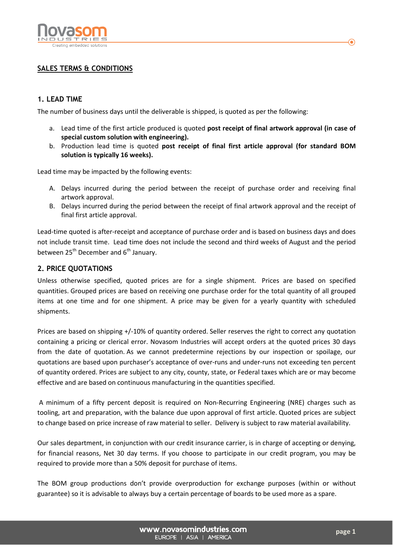

# **SALES TERMS & CONDITIONS**

### **1. LEAD TIME**

The number of business days until the deliverable is shipped, is quoted as per the following:

- a. Lead time of the first article produced is quoted **post receipt of final artwork approval (in case of special custom solution with engineering).**
- b. Production lead time is quoted **post receipt of final first article approval (for standard BOM solution is typically 16 weeks).**

Lead time may be impacted by the following events:

- A. Delays incurred during the period between the receipt of purchase order and receiving final artwork approval.
- B. Delays incurred during the period between the receipt of final artwork approval and the receipt of final first article approval.

Lead-time quoted is after-receipt and acceptance of purchase order and is based on business days and does not include transit time. Lead time does not include the second and third weeks of August and the period between  $25<sup>th</sup>$  December and  $6<sup>th</sup>$  January.

#### **2. PRICE QUOTATIONS**

Unless otherwise specified, quoted prices are for a single shipment. Prices are based on specified quantities. Grouped prices are based on receiving one purchase order for the total quantity of all grouped items at one time and for one shipment. A price may be given for a yearly quantity with scheduled shipments.

Prices are based on shipping +/-10% of quantity ordered. Seller reserves the right to correct any quotation containing a pricing or clerical error. Novasom Industries will accept orders at the quoted prices 30 days from the date of quotation. As we cannot predetermine rejections by our inspection or spoilage, our quotations are based upon purchaser's acceptance of over-runs and under-runs not exceeding ten percent of quantity ordered. Prices are subject to any city, county, state, or Federal taxes which are or may become effective and are based on continuous manufacturing in the quantities specified.

 A minimum of a fifty percent deposit is required on Non-Recurring Engineering (NRE) charges such as tooling, art and preparation, with the balance due upon approval of first article. Quoted prices are subject to change based on price increase of raw material to seller. Delivery is subject to raw material availability.

Our sales department, in conjunction with our credit insurance carrier, is in charge of accepting or denying, for financial reasons, Net 30 day terms. If you choose to participate in our credit program, you may be required to provide more than a 50% deposit for purchase of items.

The BOM group productions don't provide overproduction for exchange purposes (within or without guarantee) so it is advisable to always buy a certain percentage of boards to be used more as a spare.

⋒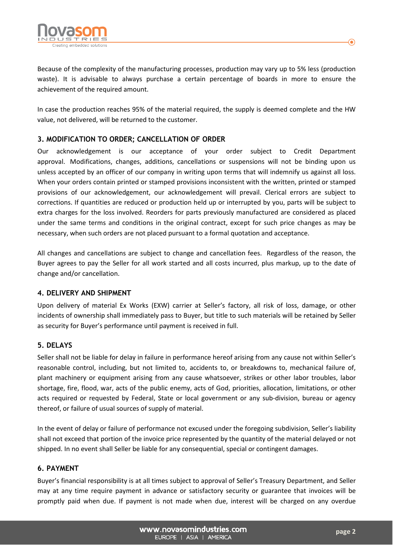

Because of the complexity of the manufacturing processes, production may vary up to 5% less (production waste). It is advisable to always purchase a certain percentage of boards in more to ensure the achievement of the required amount.

In case the production reaches 95% of the material required, the supply is deemed complete and the HW value, not delivered, will be returned to the customer.

# **3. MODIFICATION TO ORDER; CANCELLATION OF ORDER**

Our acknowledgement is our acceptance of your order subject to Credit Department approval. Modifications, changes, additions, cancellations or suspensions will not be binding upon us unless accepted by an officer of our company in writing upon terms that will indemnify us against all loss. When your orders contain printed or stamped provisions inconsistent with the written, printed or stamped provisions of our acknowledgement, our acknowledgement will prevail. Clerical errors are subject to corrections. If quantities are reduced or production held up or interrupted by you, parts will be subject to extra charges for the loss involved. Reorders for parts previously manufactured are considered as placed under the same terms and conditions in the original contract, except for such price changes as may be necessary, when such orders are not placed pursuant to a formal quotation and acceptance.

All changes and cancellations are subject to change and cancellation fees. Regardless of the reason, the Buyer agrees to pay the Seller for all work started and all costs incurred, plus markup, up to the date of change and/or cancellation.

#### **4. DELIVERY AND SHIPMENT**

Upon delivery of material Ex Works (EXW) carrier at Seller's factory, all risk of loss, damage, or other incidents of ownership shall immediately pass to Buyer, but title to such materials will be retained by Seller as security for Buyer's performance until payment is received in full.

## **5. DELAYS**

Seller shall not be liable for delay in failure in performance hereof arising from any cause not within Seller's reasonable control, including, but not limited to, accidents to, or breakdowns to, mechanical failure of, plant machinery or equipment arising from any cause whatsoever, strikes or other labor troubles, labor shortage, fire, flood, war, acts of the public enemy, acts of God, priorities, allocation, limitations, or other acts required or requested by Federal, State or local government or any sub-division, bureau or agency thereof, or failure of usual sources of supply of material.

In the event of delay or failure of performance not excused under the foregoing subdivision, Seller's liability shall not exceed that portion of the invoice price represented by the quantity of the material delayed or not shipped. In no event shall Seller be liable for any consequential, special or contingent damages.

## **6. PAYMENT**

Buyer's financial responsibility is at all times subject to approval of Seller's Treasury Department, and Seller may at any time require payment in advance or satisfactory security or guarantee that invoices will be promptly paid when due. If payment is not made when due, interest will be charged on any overdue

 $\bf{O}$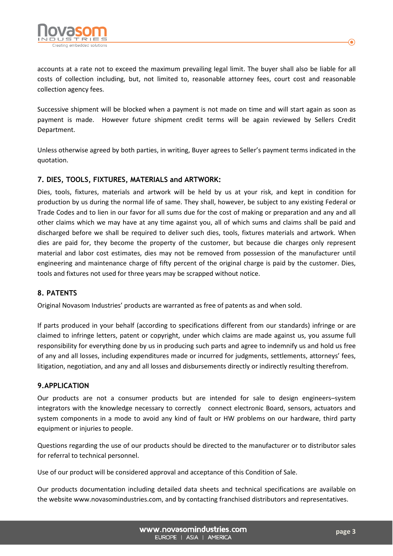

accounts at a rate not to exceed the maximum prevailing legal limit. The buyer shall also be liable for all costs of collection including, but, not limited to, reasonable attorney fees, court cost and reasonable collection agency fees.

Successive shipment will be blocked when a payment is not made on time and will start again as soon as payment is made. However future shipment credit terms will be again reviewed by Sellers Credit Department.

Unless otherwise agreed by both parties, in writing, Buyer agrees to Seller's payment terms indicated in the quotation.

## **7. DIES, TOOLS, FIXTURES, MATERIALS and ARTWORK:**

Dies, tools, fixtures, materials and artwork will be held by us at your risk, and kept in condition for production by us during the normal life of same. They shall, however, be subject to any existing Federal or Trade Codes and to lien in our favor for all sums due for the cost of making or preparation and any and all other claims which we may have at any time against you, all of which sums and claims shall be paid and discharged before we shall be required to deliver such dies, tools, fixtures materials and artwork. When dies are paid for, they become the property of the customer, but because die charges only represent material and labor cost estimates, dies may not be removed from possession of the manufacturer until engineering and maintenance charge of fifty percent of the original charge is paid by the customer. Dies, tools and fixtures not used for three years may be scrapped without notice.

#### **8. PATENTS**

Original Novasom Industries' products are warranted as free of patents as and when sold.

If parts produced in your behalf (according to specifications different from our standards) infringe or are claimed to infringe letters, patent or copyright, under which claims are made against us, you assume full responsibility for everything done by us in producing such parts and agree to indemnify us and hold us free of any and all losses, including expenditures made or incurred for judgments, settlements, attorneys' fees, litigation, negotiation, and any and all losses and disbursements directly or indirectly resulting therefrom.

#### **9.APPLICATION**

Our products are not a consumer products but are intended for sale to design engineers–system integrators with the knowledge necessary to correctly connect electronic Board, sensors, actuators and system components in a mode to avoid any kind of fault or HW problems on our hardware, third party equipment or injuries to people.

Questions regarding the use of our products should be directed to the manufacturer or to distributor sales for referral to technical personnel.

Use of our product will be considered approval and acceptance of this Condition of Sale.

Our products documentation including detailed data sheets and technical specifications are available on the website www.novasomindustries.com, and by contacting franchised distributors and representatives.

> www.novasomindustries.com EUROPE | ASIA | AMERICA

⋒